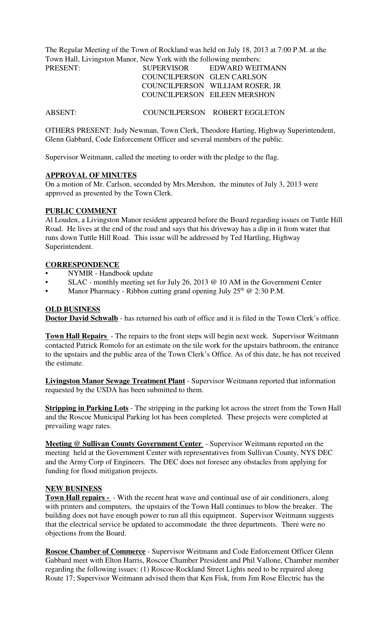The Regular Meeting of the Town of Rockland was held on July 18, 2013 at 7:00 P.M. at the Town Hall, Livingston Manor, New York with the following members:

| PRESENT: | SUPERVISOR                 | EDWARD WEITMANN                 |
|----------|----------------------------|---------------------------------|
|          | COUNCILPERSON GLEN CARLSON |                                 |
|          |                            | COUNCILPERSON WILLIAM ROSER, JR |
|          |                            | COUNCILPERSON EILEEN MERSHON    |

ABSENT: COUNCILPERSON ROBERT EGGLETON

OTHERS PRESENT: Judy Newman, Town Clerk, Theodore Harting, Highway Superintendent, Glenn Gabbard, Code Enforcement Officer and several members of the public.

Supervisor Weitmann, called the meeting to order with the pledge to the flag.

### **APPROVAL OF MINUTES**

On a motion of Mr. Carlson, seconded by Mrs.Mershon, the minutes of July 3, 2013 were approved as presented by the Town Clerk.

### **PUBLIC COMMENT**

Al Louden, a Livingston Manor resident appeared before the Board regarding issues on Tuttle Hill Road. He lives at the end of the road and says that his driveway has a dip in it from water that runs down Tuttle Hill Road. This issue will be addressed by Ted Hartling, Highway Superintendent.

### **CORRESPONDENCE**

- NYMIR Handbook update
- SLAC monthly meeting set for July 26, 2013 @ 10 AM in the Government Center
- Manor Pharmacy Ribbon cutting grand opening July  $25<sup>th</sup>$  @ 2:30 P.M.

### **OLD BUSINESS**

**Doctor David Schwalb** - has returned his oath of office and it is filed in the Town Clerk's office.

**Town Hall Repairs** - The repairs to the front steps will begin next week. Supervisor Weitmann contacted Patrick Romolo for an estimate on the tile work for the upstairs bathroom, the entrance to the upstairs and the public area of the Town Clerk's Office. As of this date, he has not received the estimate.

**Livingston Manor Sewage Treatment Plant** - Supervisor Weitmann reported that information requested by the USDA has been submitted to them.

**Stripping in Parking Lots** - The stripping in the parking lot across the street from the Town Hall and the Roscoe Municipal Parking lot has been completed. These projects were completed at prevailing wage rates.

**Meeting @ Sullivan County Government Center** - Supervisor Weitmann reported on the meeting held at the Government Center with representatives from Sullivan County, NYS DEC and the Army Corp of Engineers. The DEC does not foresee any obstacles from applying for funding for flood mitigation projects.

#### **NEW BUSINESS**

**Town Hall repairs -** - With the recent heat wave and continual use of air conditioners, along with printers and computers, the upstairs of the Town Hall continues to blow the breaker. The building does not have enough power to run all this equipment. Supervisor Weitmann suggests that the electrical service be updated to accommodate the three departments. There were no objections from the Board.

**Roscoe Chamber of Commerce** - Supervisor Weitmann and Code Enforcement Officer Glenn Gabbard meet with Elton Harris, Roscoe Chamber President and Phil Vallone, Chamber member regarding the following issues: (1) Roscoe-Rockland Street Lights need to be repaired along Route 17; Supervisor Weitmann advised them that Ken Fisk, from Jim Rose Electric has the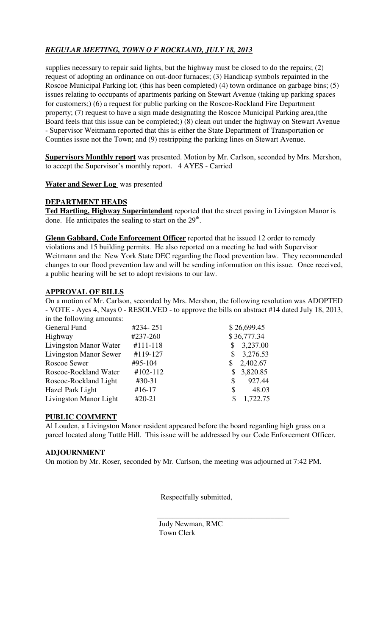# *REGULAR MEETING, TOWN O F ROCKLAND, JULY 18, 2013*

supplies necessary to repair said lights, but the highway must be closed to do the repairs; (2) request of adopting an ordinance on out-door furnaces; (3) Handicap symbols repainted in the Roscoe Municipal Parking lot; (this has been completed) (4) town ordinance on garbage bins; (5) issues relating to occupants of apartments parking on Stewart Avenue (taking up parking spaces for customers;) (6) a request for public parking on the Roscoe-Rockland Fire Department property; (7) request to have a sign made designating the Roscoe Municipal Parking area,(the Board feels that this issue can be completed;) (8) clean out under the highway on Stewart Avenue - Supervisor Weitmann reported that this is either the State Department of Transportation or Counties issue not the Town; and (9) restripping the parking lines on Stewart Avenue.

**Supervisors Monthly report** was presented. Motion by Mr. Carlson, seconded by Mrs. Mershon, to accept the Supervisor's monthly report. 4 AYES - Carried

# **Water and Sewer Log** was presented

# **DEPARTMENT HEADS**

**Ted Hartling, Highway Superintendent** reported that the street paving in Livingston Manor is done. He anticipates the sealing to start on the 29<sup>th</sup>.

**Glenn Gabbard, Code Enforcement Officer** reported that he issued 12 order to remedy violations and 15 building permits. He also reported on a meeting he had with Supervisor Weitmann and the New York State DEC regarding the flood prevention law. They recommended changes to our flood prevention law and will be sending information on this issue. Once received, a public hearing will be set to adopt revisions to our law.

# **APPROVAL OF BILLS**

On a motion of Mr. Carlson, seconded by Mrs. Mershon, the following resolution was ADOPTED - VOTE - Ayes 4, Nays 0 - RESOLVED - to approve the bills on abstract #14 dated July 18, 2013, in the following amounts:

| In the following unionities.  |          |                |
|-------------------------------|----------|----------------|
| General Fund                  | #234-251 | \$26,699.45    |
| Highway                       | #237-260 | \$36,777.34    |
| Livingston Manor Water        | #111-118 | 3,237.00       |
| <b>Livingston Manor Sewer</b> | #119-127 | 3,276.53<br>S. |
| Roscoe Sewer                  | #95-104  | 2,402.67<br>\$ |
| Roscoe-Rockland Water         | #102-112 | 3,820.85<br>S. |
| Roscoe-Rockland Light         | $#30-31$ | 927.44<br>\$   |
| Hazel Park Light              | $#16-17$ | 48.03<br>\$    |
| Livingston Manor Light        | $#20-21$ | 1,722.75<br>\$ |

# **PUBLIC COMMENT**

Al Louden, a Livingston Manor resident appeared before the board regarding high grass on a parcel located along Tuttle Hill. This issue will be addressed by our Code Enforcement Officer.

### **ADJOURNMENT**

On motion by Mr. Roser, seconded by Mr. Carlson, the meeting was adjourned at 7:42 PM.

Respectfully submitted,

 Judy Newman, RMC Town Clerk

 $\overline{\phantom{a}}$  ,  $\overline{\phantom{a}}$  ,  $\overline{\phantom{a}}$  ,  $\overline{\phantom{a}}$  ,  $\overline{\phantom{a}}$  ,  $\overline{\phantom{a}}$  ,  $\overline{\phantom{a}}$  ,  $\overline{\phantom{a}}$  ,  $\overline{\phantom{a}}$  ,  $\overline{\phantom{a}}$  ,  $\overline{\phantom{a}}$  ,  $\overline{\phantom{a}}$  ,  $\overline{\phantom{a}}$  ,  $\overline{\phantom{a}}$  ,  $\overline{\phantom{a}}$  ,  $\overline{\phantom{a}}$